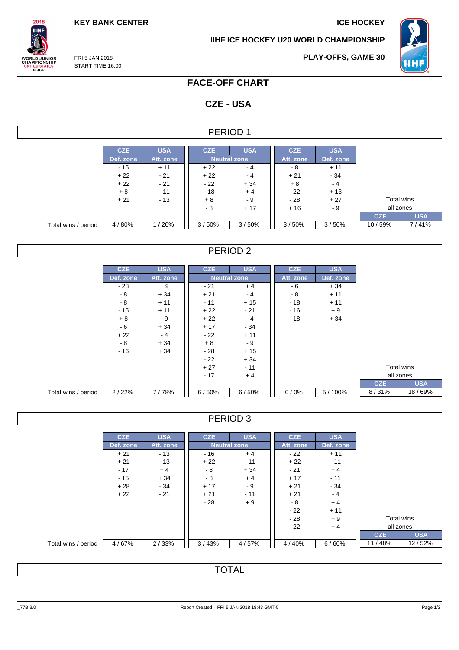**KEY BANK CENTER ICE HOCKEY** 

**IIHF ICE HOCKEY U20 WORLD CHAMPIONSHIP**



FRI 5 JAN 2018 **ORLD JUNIOR**<br>HAMPIONSHIP START TIME 16:00 UNITED STATES<br>Buffalo

 $2018$ **IIHF** 

**PLAY-OFFS, GAME 30**

## **FACE-OFF CHART**

# **CZE - USA**

#### PERIOD 1

|                     | <b>CZE</b> | <b>USA</b> | <b>CZE</b>          | <b>USA</b> | <b>CZE</b> | <b>USA</b> |            |            |
|---------------------|------------|------------|---------------------|------------|------------|------------|------------|------------|
|                     | Def. zone  | Att. zone  | <b>Neutral zone</b> |            | Att. zone  | Def. zone  |            |            |
|                     | $-15$      | $+11$      | $+22$               | - 4        | - 8        | $+11$      |            |            |
|                     | $+22$      | $-21$      | $+22$               | $-4$       | $+21$      | $-34$      |            |            |
|                     | $+22$      | $-21$      | $-22$               | $+34$      | $+8$       | - 4        |            |            |
|                     | $+8$       | $-11$      | $-18$               | $+4$       | - 22       | $+13$      |            |            |
|                     | $+21$      | $-13$      | $+8$                | - 9        | - 28       | $+27$      | Total wins |            |
|                     |            |            | - 8                 | $+17$      | $+16$      | - 9        | all zones  |            |
|                     |            |            |                     |            |            |            | <b>CZE</b> | <b>USA</b> |
| Total wins / period | 4/80%      | 1/20%      | 3/50%               | 3/50%      | 3/50%      | 3/50%      | 10/59%     | 7/41%      |

### PERIOD 2

|                     | <b>CZE</b> | <b>USA</b> | <b>CZE</b> | <b>USA</b>          | <b>CZE</b> | <b>USA</b> |            |            |
|---------------------|------------|------------|------------|---------------------|------------|------------|------------|------------|
|                     | Def. zone  | Att. zone  |            | <b>Neutral zone</b> | Att. zone  | Def. zone  |            |            |
|                     | $-28$      | $+9$       | $-21$      | $+4$                | - 6        | $+34$      |            |            |
|                     | - 8        | $+34$      | $+21$      | $-4$                | - 8        | $+11$      |            |            |
|                     | - 8        | $+11$      | $-11$      | $+15$               | $-18$      | $+11$      |            |            |
|                     | $-15$      | $+11$      | $+22$      | $-21$               | $-16$      | $+9$       |            |            |
|                     | $+8$       | - 9        | $+22$      | $-4$                | $-18$      | $+34$      |            |            |
|                     | - 6        | $+34$      | $+17$      | $-34$               |            |            |            |            |
|                     | $+22$      | $-4$       | $-22$      | $+11$               |            |            |            |            |
|                     | $-8$       | $+34$      | $+8$       | - 9                 |            |            |            |            |
|                     | $-16$      | $+34$      | $-28$      | $+15$               |            |            |            |            |
|                     |            |            | $-22$      | $+34$               |            |            |            |            |
|                     |            |            | $+27$      | $-11$               |            |            | Total wins |            |
|                     |            |            | $-17$      | $+4$                |            |            | all zones  |            |
|                     |            |            |            |                     |            |            | <b>CZE</b> | <b>USA</b> |
| Total wins / period | 2/22%      | 7/78%      | 6/50%      | 6/50%               | 0/0%       | 5/100%     | 8/31%      | 18/69%     |

### PERIOD 3

|                     | <b>CZE</b> | <b>USA</b> | <b>CZE</b> | <b>USA</b>          | <b>CZE</b> | <b>USA</b> |            |            |
|---------------------|------------|------------|------------|---------------------|------------|------------|------------|------------|
|                     | Def. zone  | Att. zone  |            | <b>Neutral zone</b> | Att. zone  | Def. zone  |            |            |
|                     | $+21$      | $-13$      | $-16$      | $+4$                | $-22$      | $+11$      |            |            |
|                     | $+21$      | $-13$      | $+22$      | $-11$               | $+22$      | $-11$      |            |            |
|                     | $-17$      | $+4$       | - 8        | $+34$               | $-21$      | $+4$       |            |            |
|                     | $-15$      | $+34$      | - 8        | $+4$                | $+17$      | $-11$      |            |            |
|                     | $+28$      | $-34$      | $+17$      | - 9                 | $+21$      | $-34$      |            |            |
|                     | $+22$      | $-21$      | $+21$      | $-11$               | $+21$      | $-4$       |            |            |
|                     |            |            | $-28$      | $+9$                | - 8        | $+4$       |            |            |
|                     |            |            |            |                     | $-22$      | $+11$      |            |            |
|                     |            |            |            |                     | - 28       | $+9$       | Total wins |            |
|                     |            |            |            |                     | $-22$      | $+4$       | all zones  |            |
|                     |            |            |            |                     |            |            | <b>CZE</b> | <b>USA</b> |
| Total wins / period | 4/67%      | 2/33%      | 3/43%      | 4/57%               | 4/40%      | 6/60%      | 11/48%     | 12/52%     |

## TOTAL

\_77B 3.0 Report Created FRI 5 JAN 2018 18:43 GMT-5 Page 1/3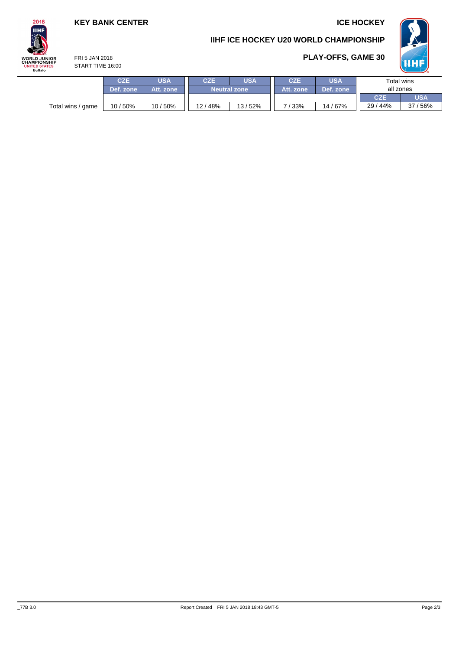## **KEY BANK CENTER ICE HOCKEY**

**PLAY-OFFS, GAME 30**

**IIHF ICE HOCKEY U20 WORLD CHAMPIONSHIP**



FRI 5 JAN 2018 **ORLD JUNIOR**<br>HAMPIONSHIP START TIME 16:00

 $2018$ **IIHF** 

| IED SIMIES<br>Buffalo | <b>OIARI IIIVIE 10.UU</b> |           |           |                     |        |                 |            |            |            |  |  |  |
|-----------------------|---------------------------|-----------|-----------|---------------------|--------|-----------------|------------|------------|------------|--|--|--|
|                       |                           | CZE       | USA       | <b>CZE</b>          | USA    | <b>CZE</b>      | <b>USA</b> | Total wins |            |  |  |  |
|                       |                           | Def. zone | Att. zone | <b>Neutral zone</b> |        | Att. zone       | Def. zone  | all zones  |            |  |  |  |
|                       |                           |           |           |                     |        |                 | <b>CZE</b> | USA        |            |  |  |  |
|                       | Total wins / game         | 10/50%    | 10/50%    | 12/48%              | 13/52% | $^{\prime}$ 33% | 14/67%     | 29/44%     | 56%<br>27, |  |  |  |